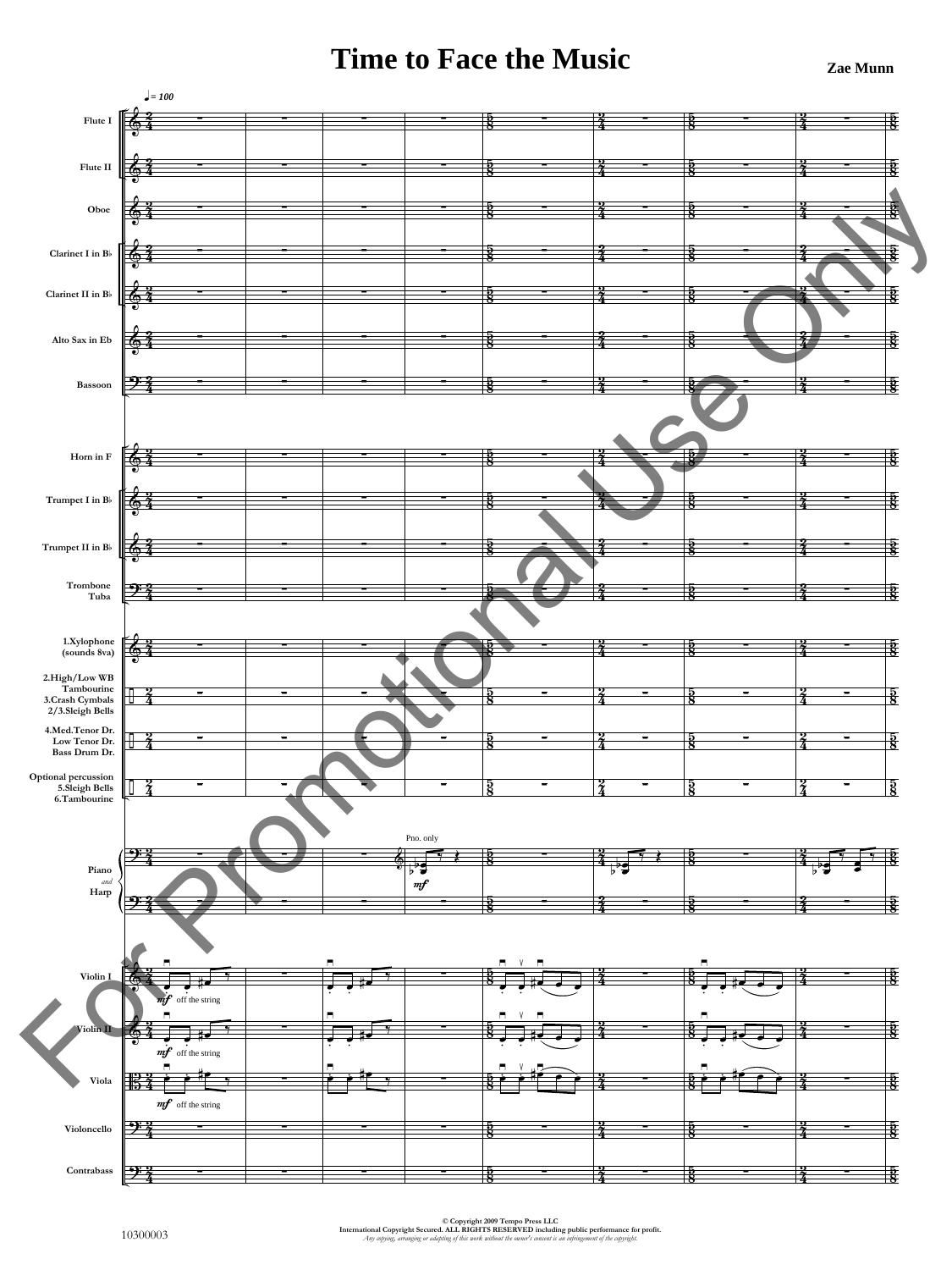**Time to Face the Music Zae Munn** 

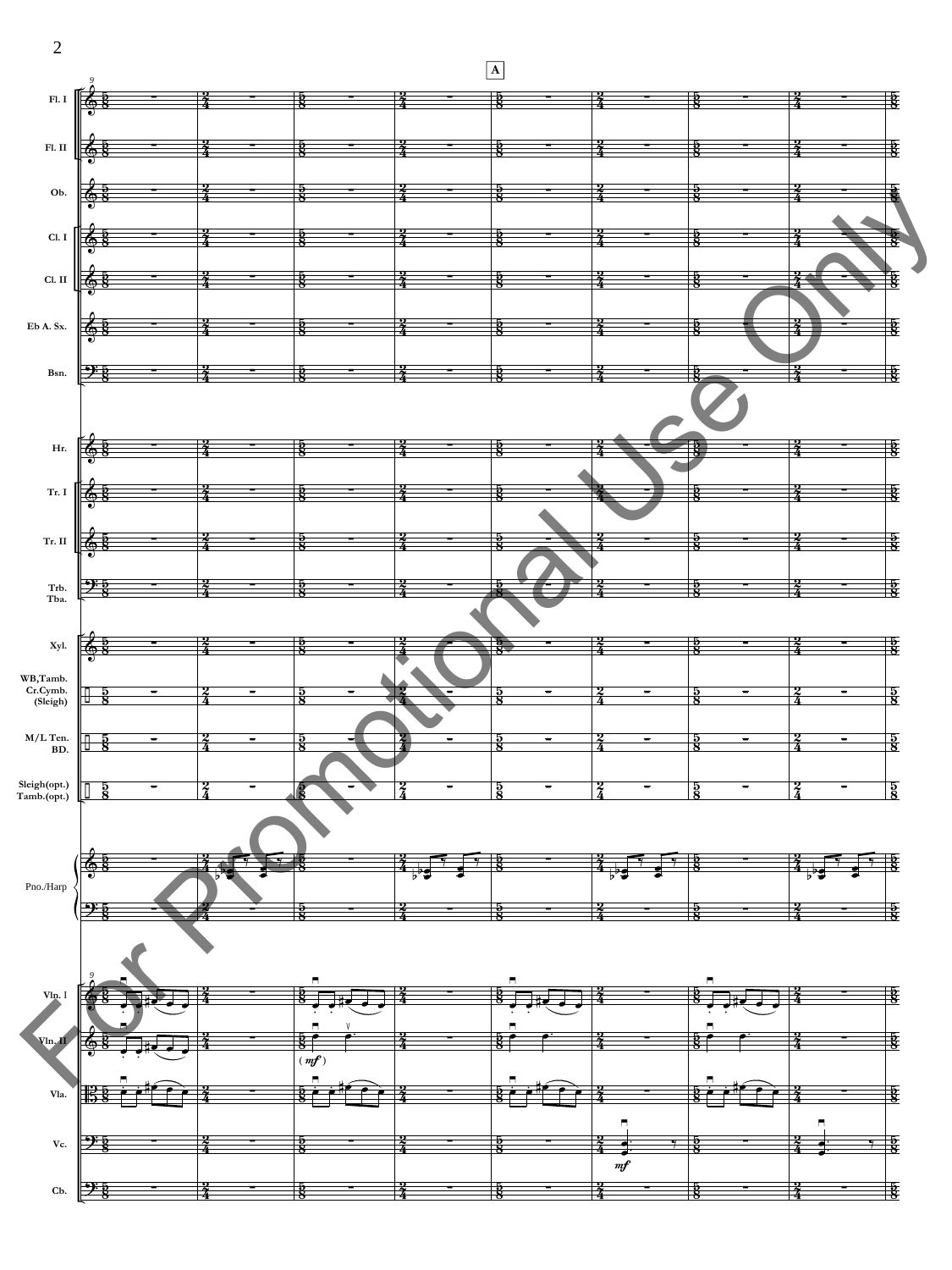

**A**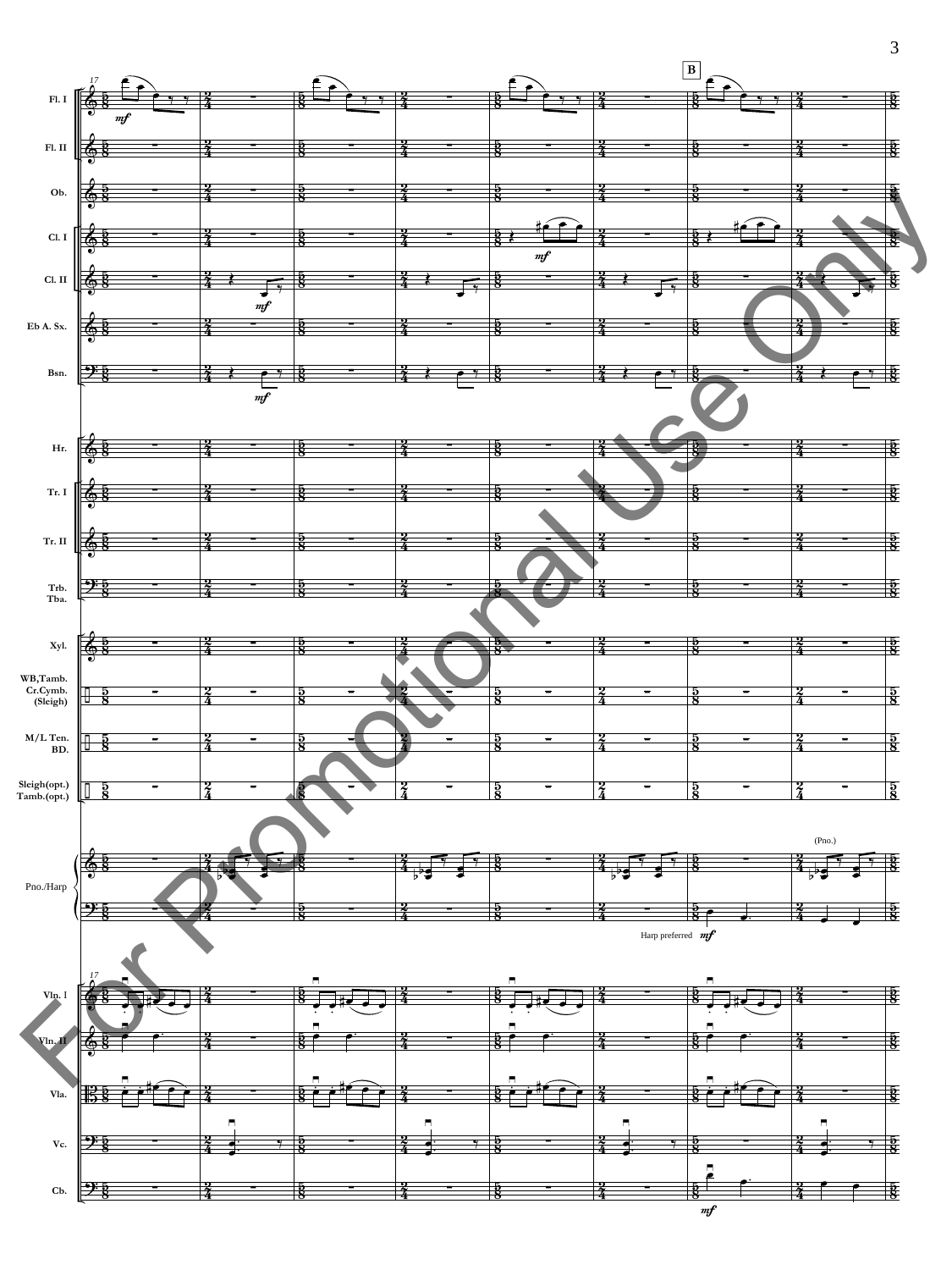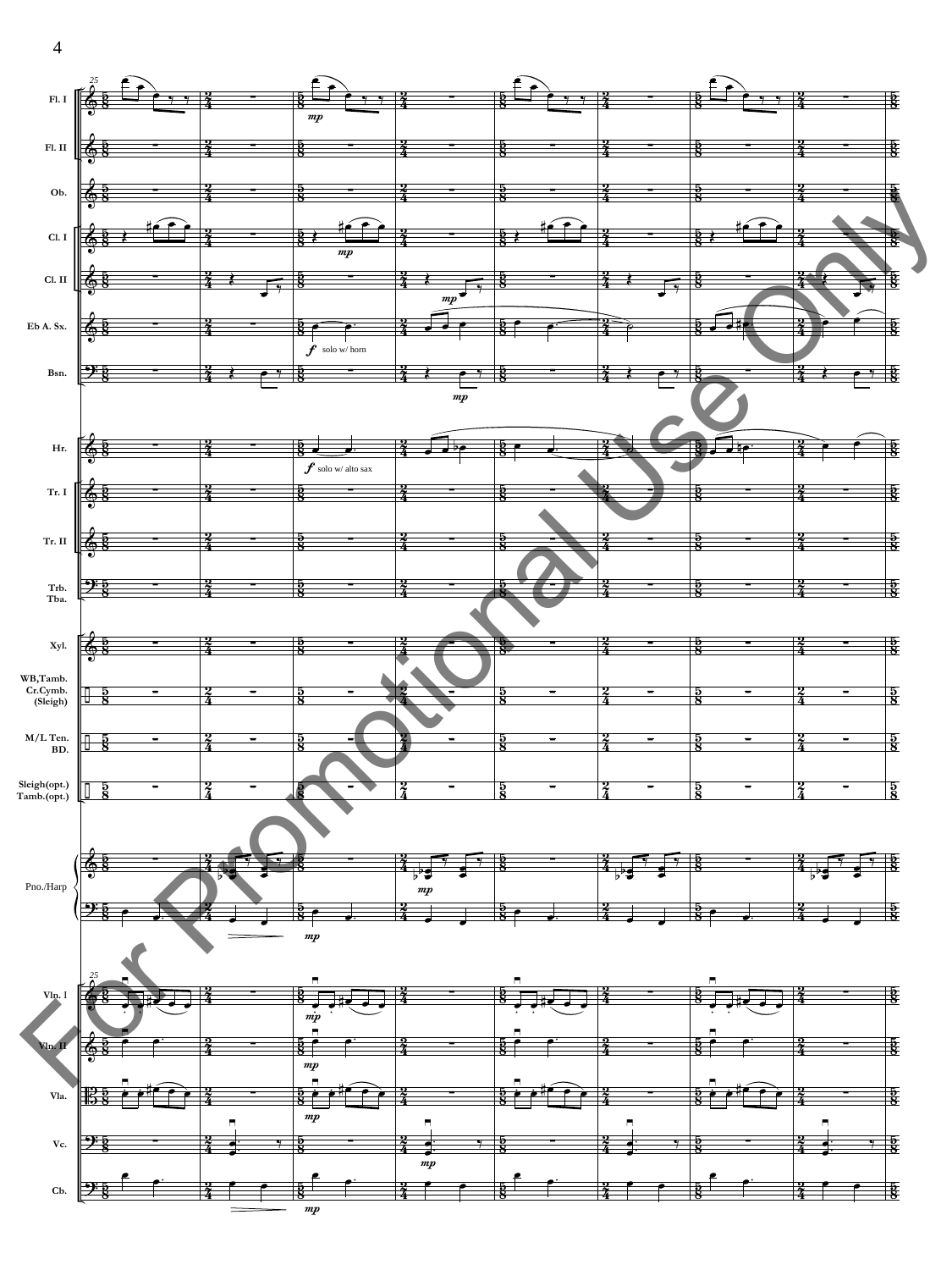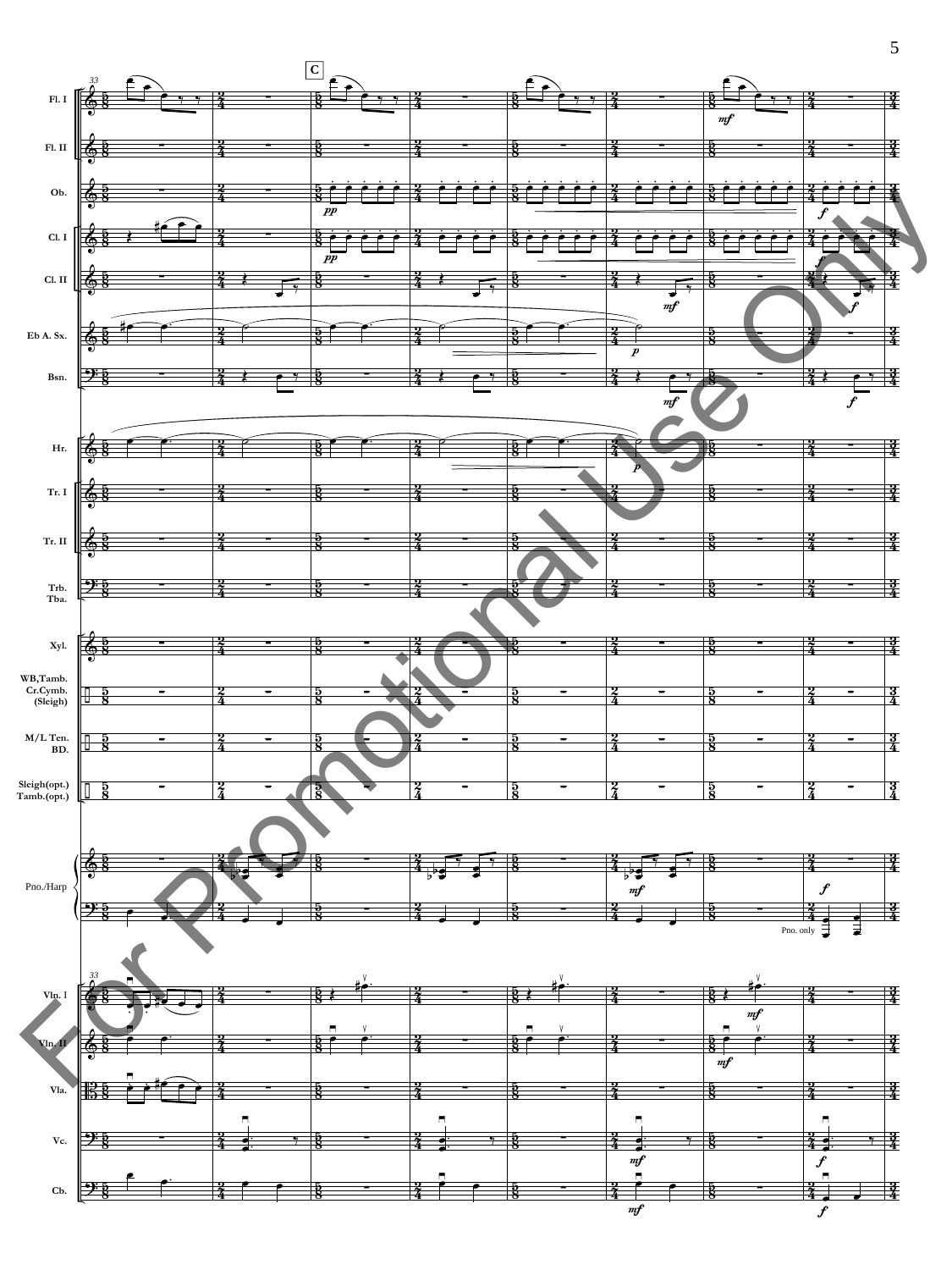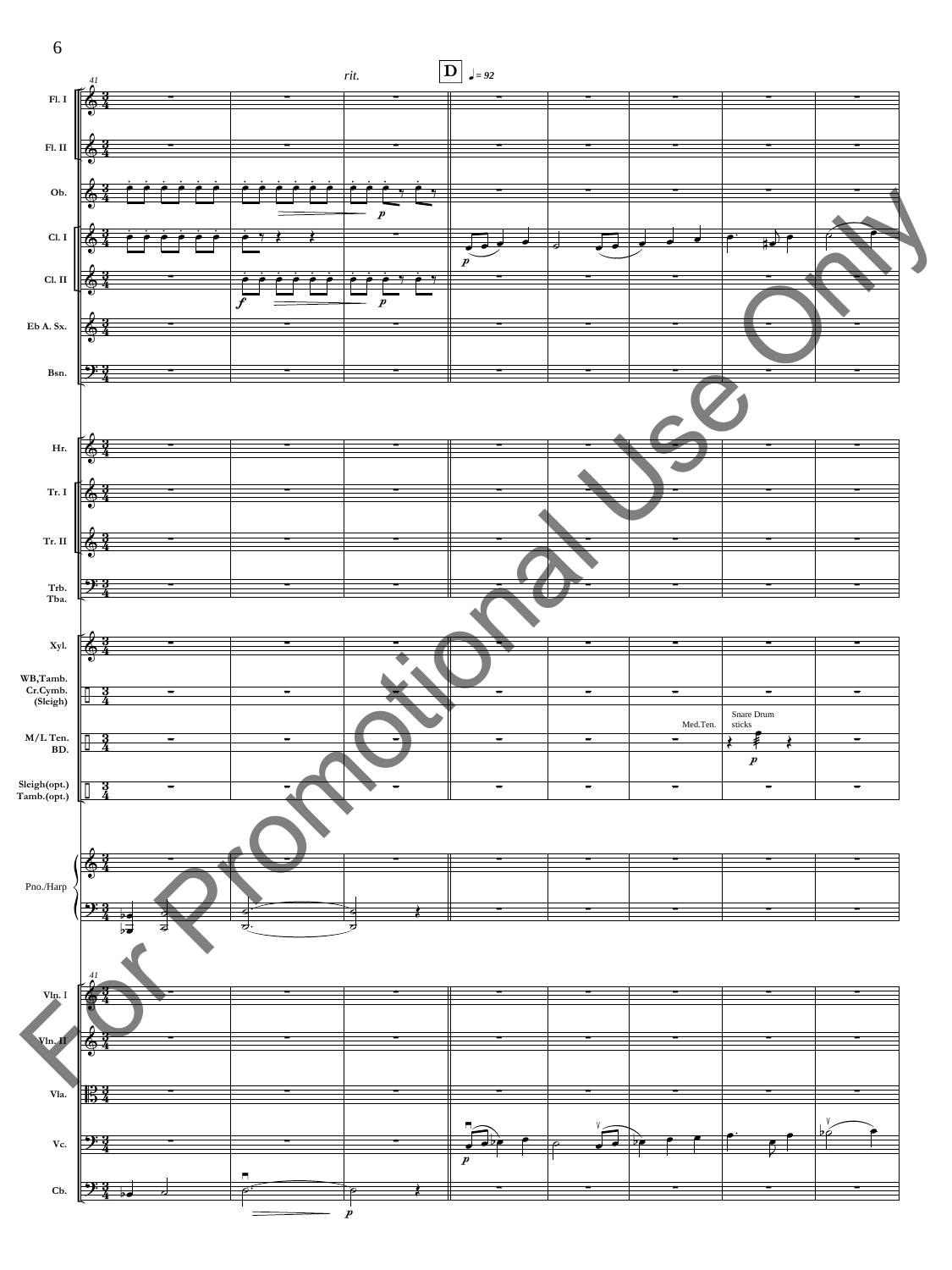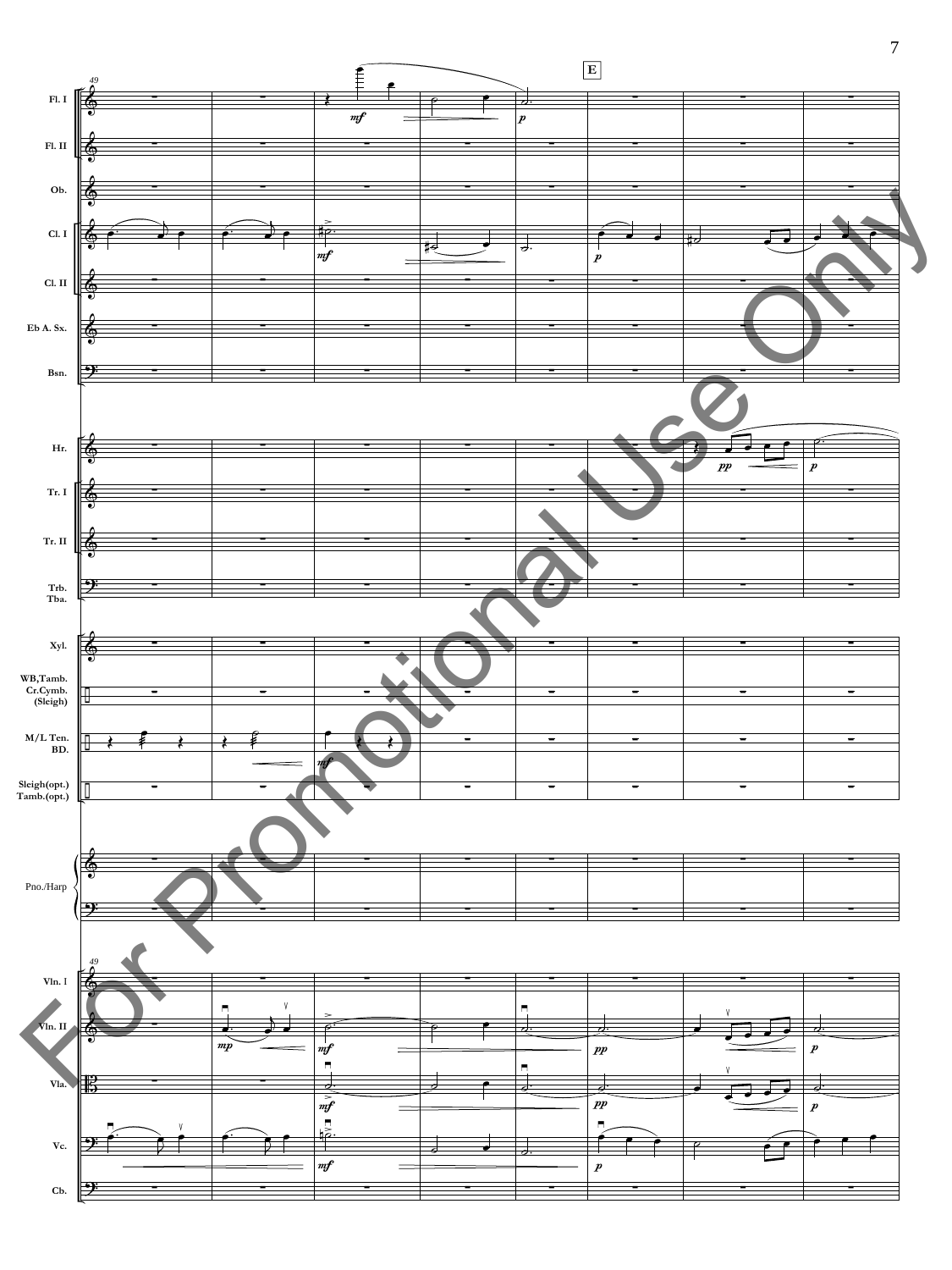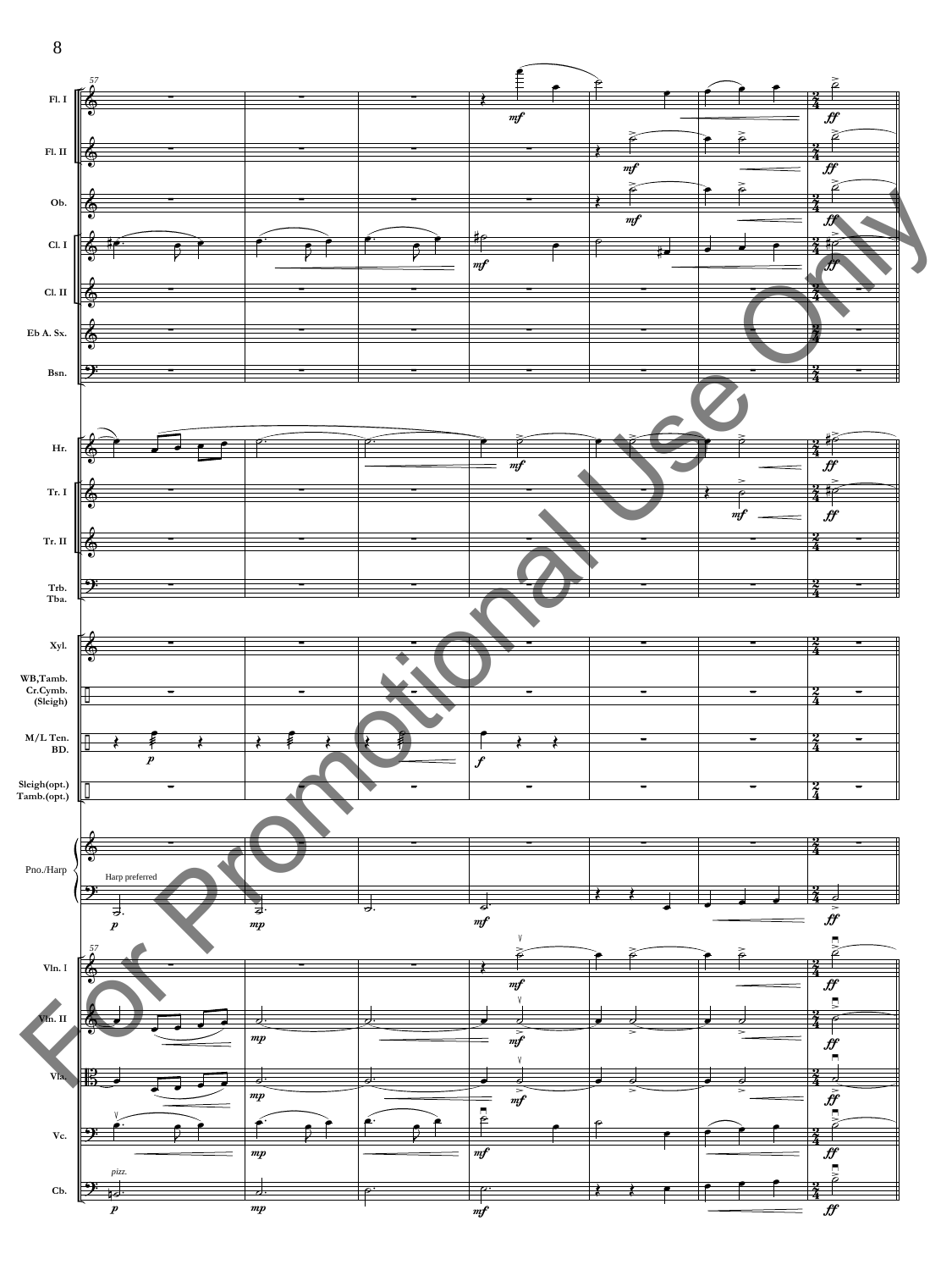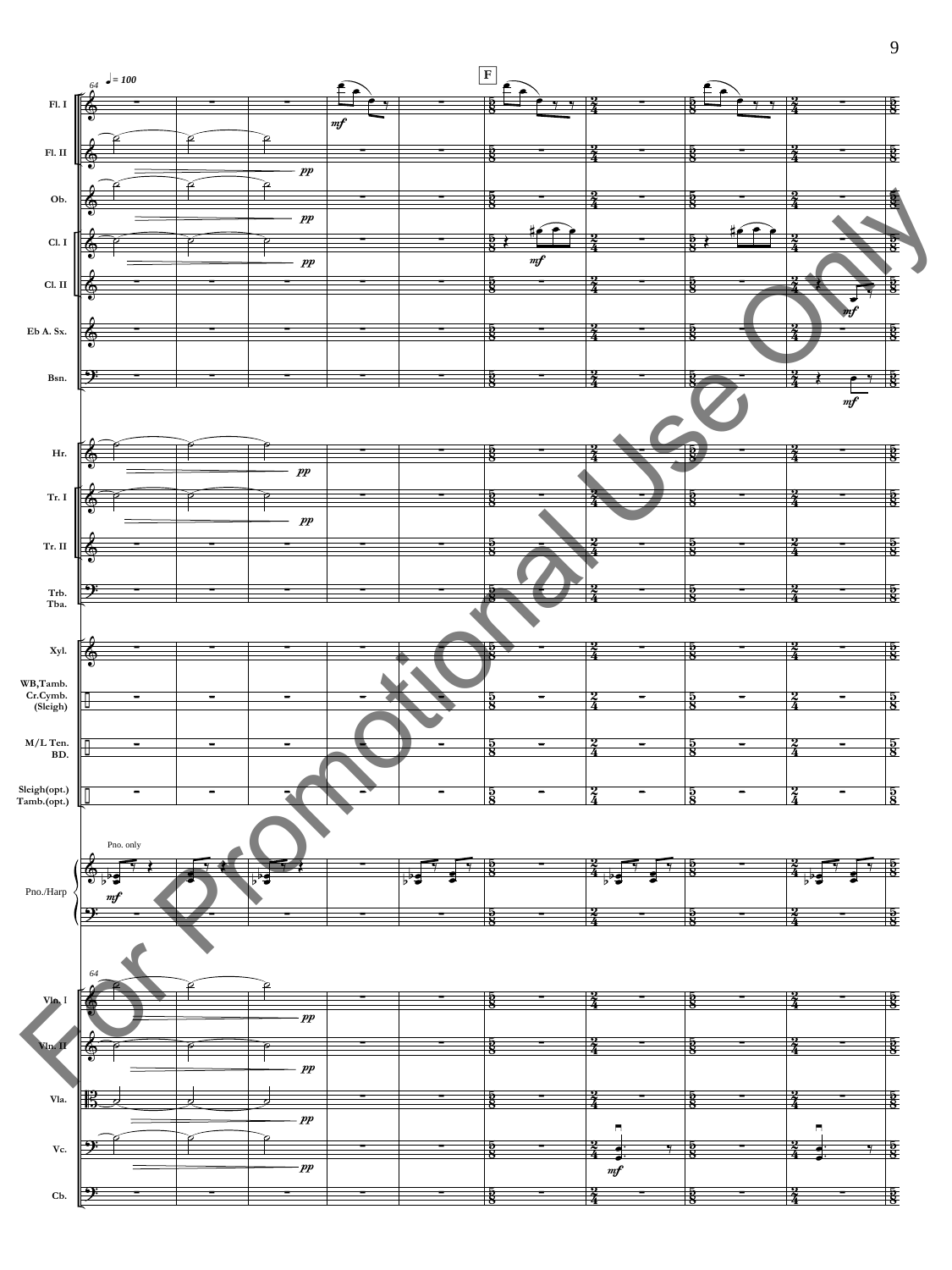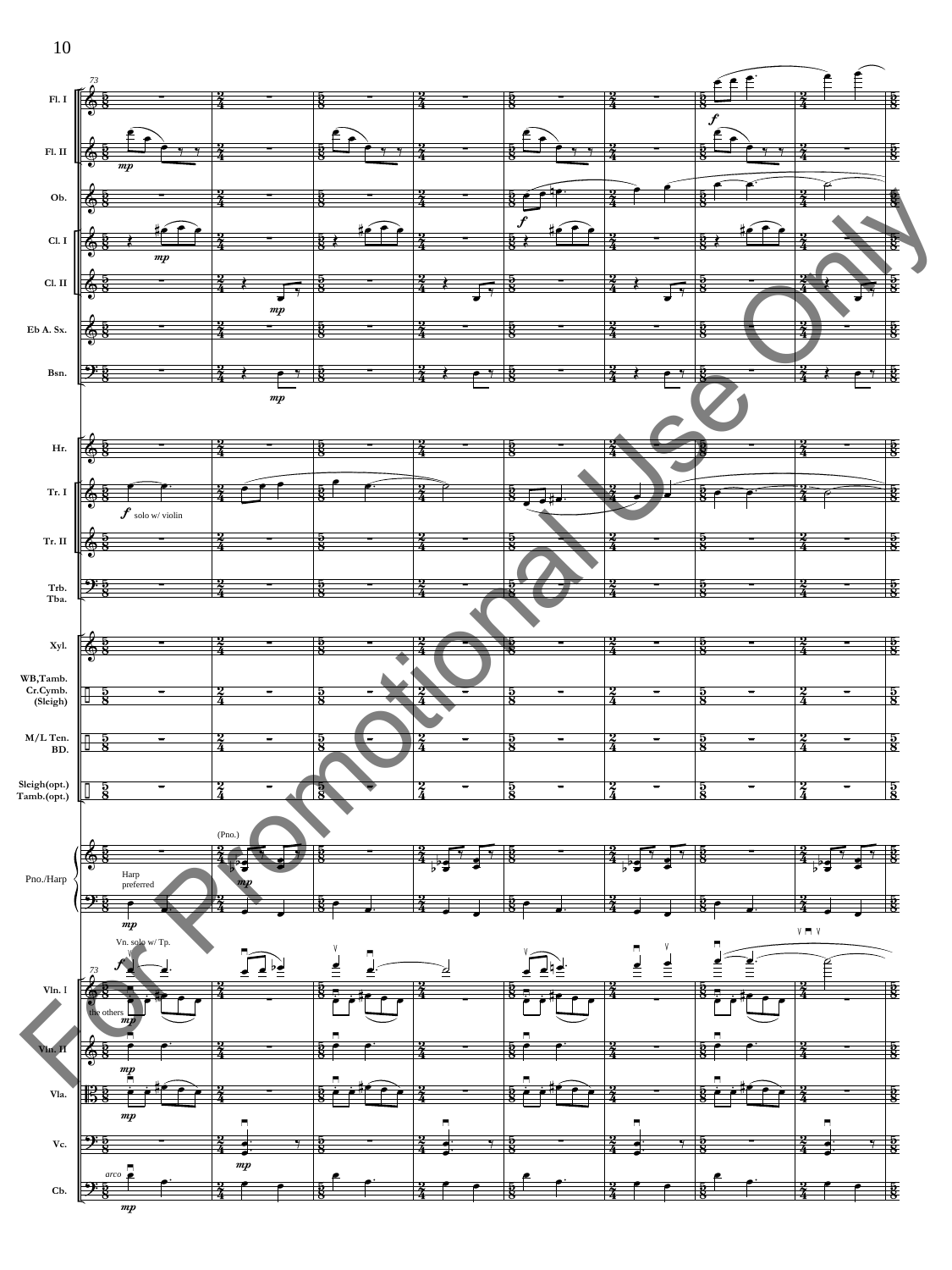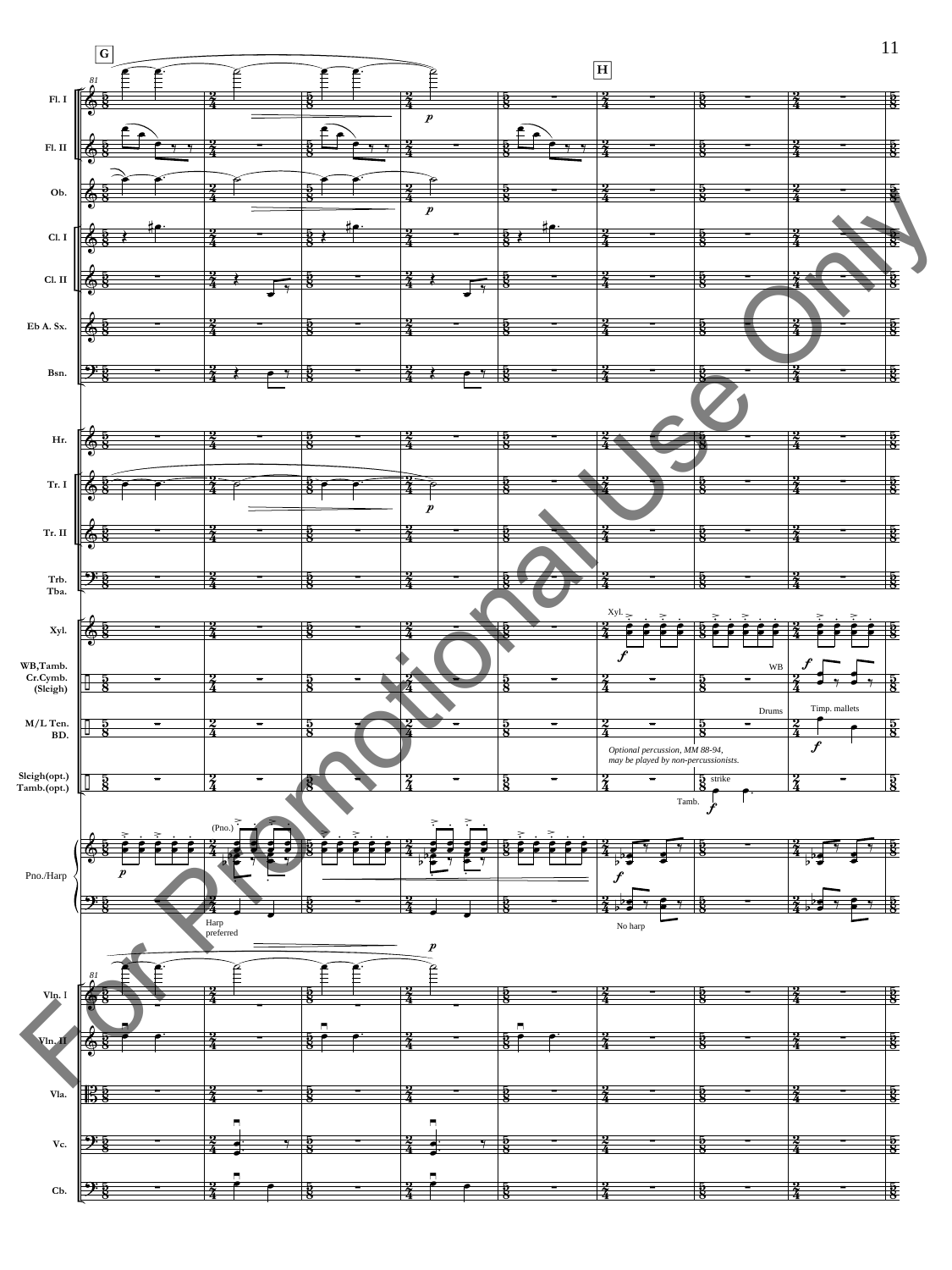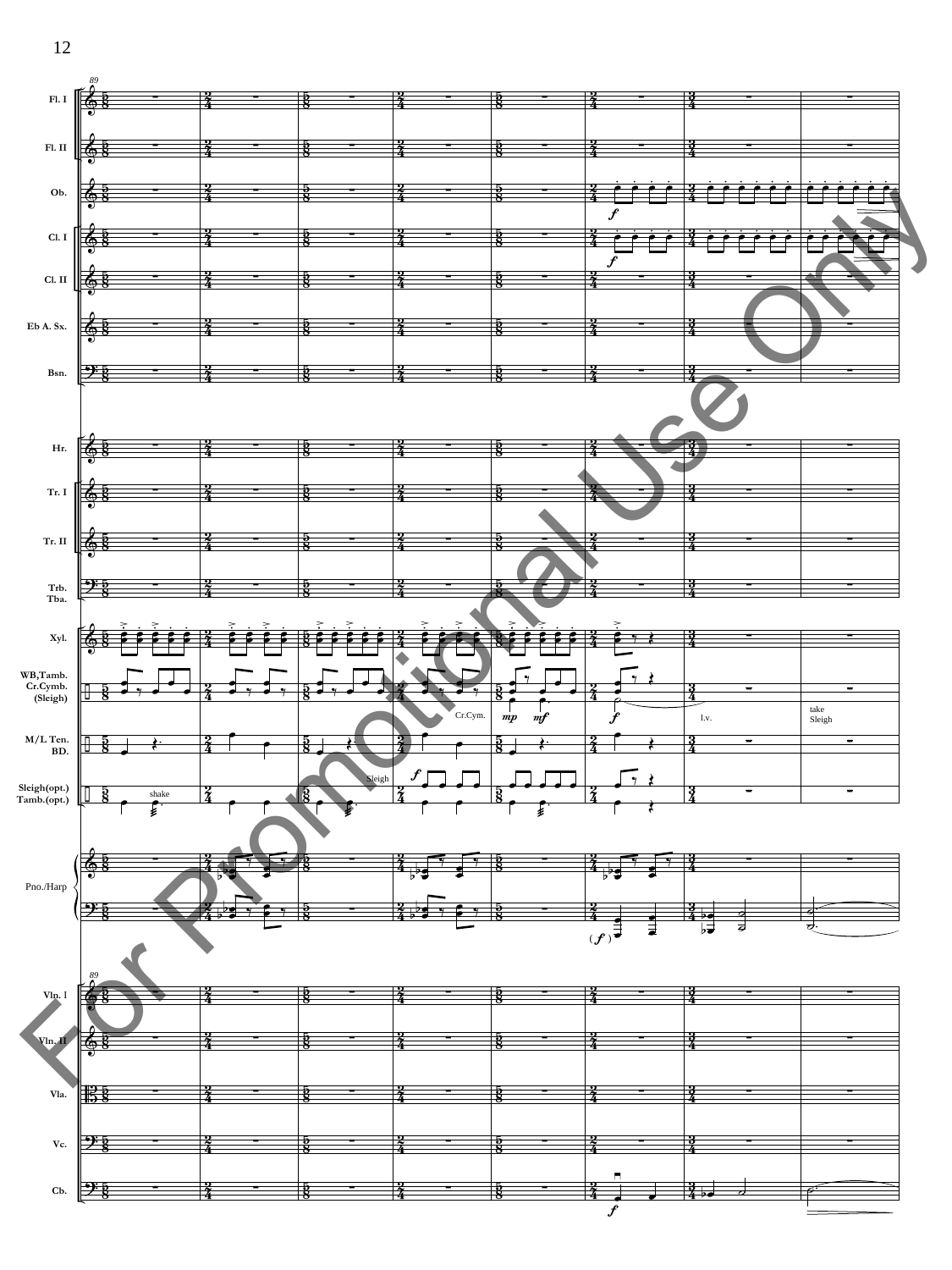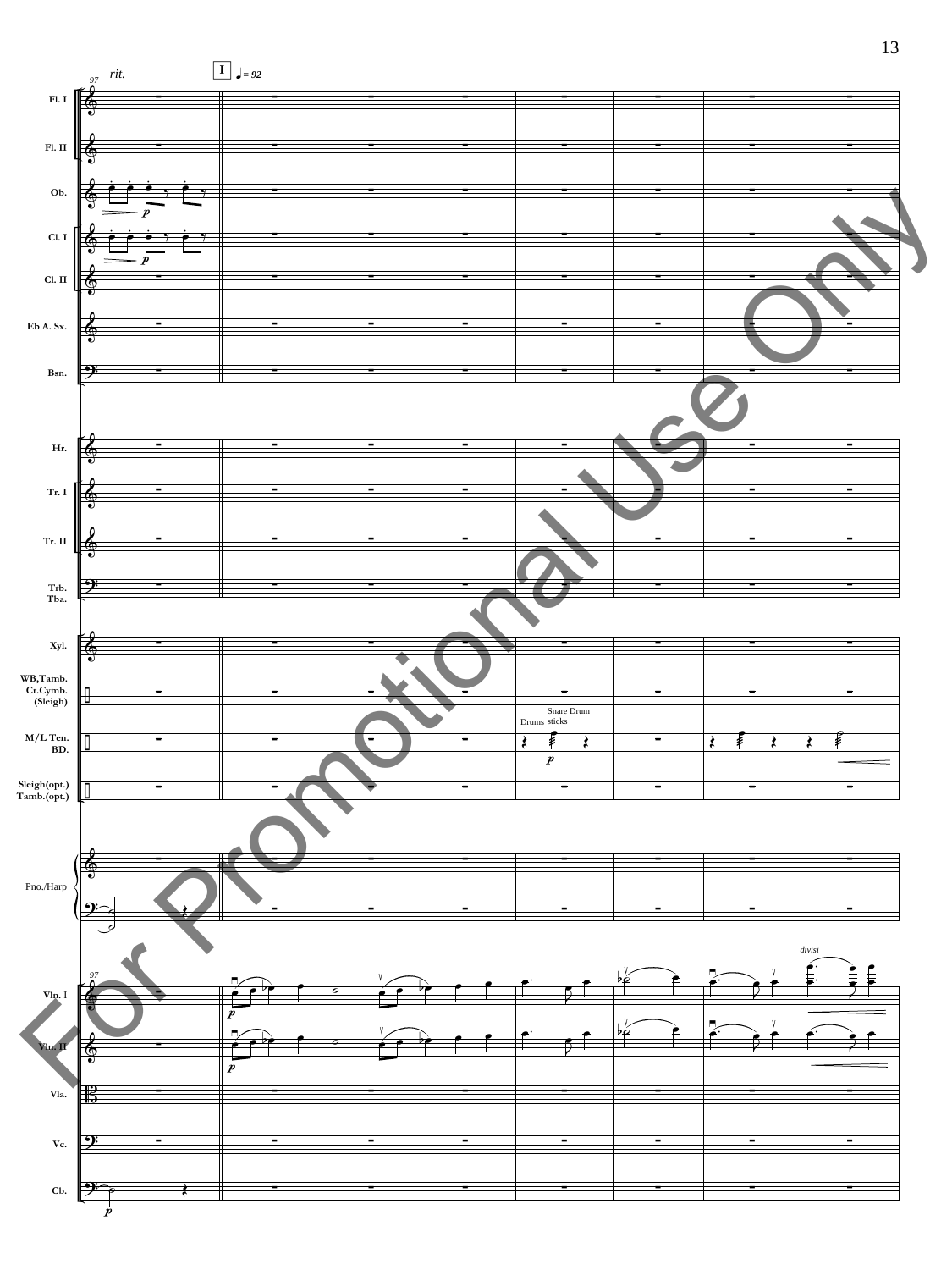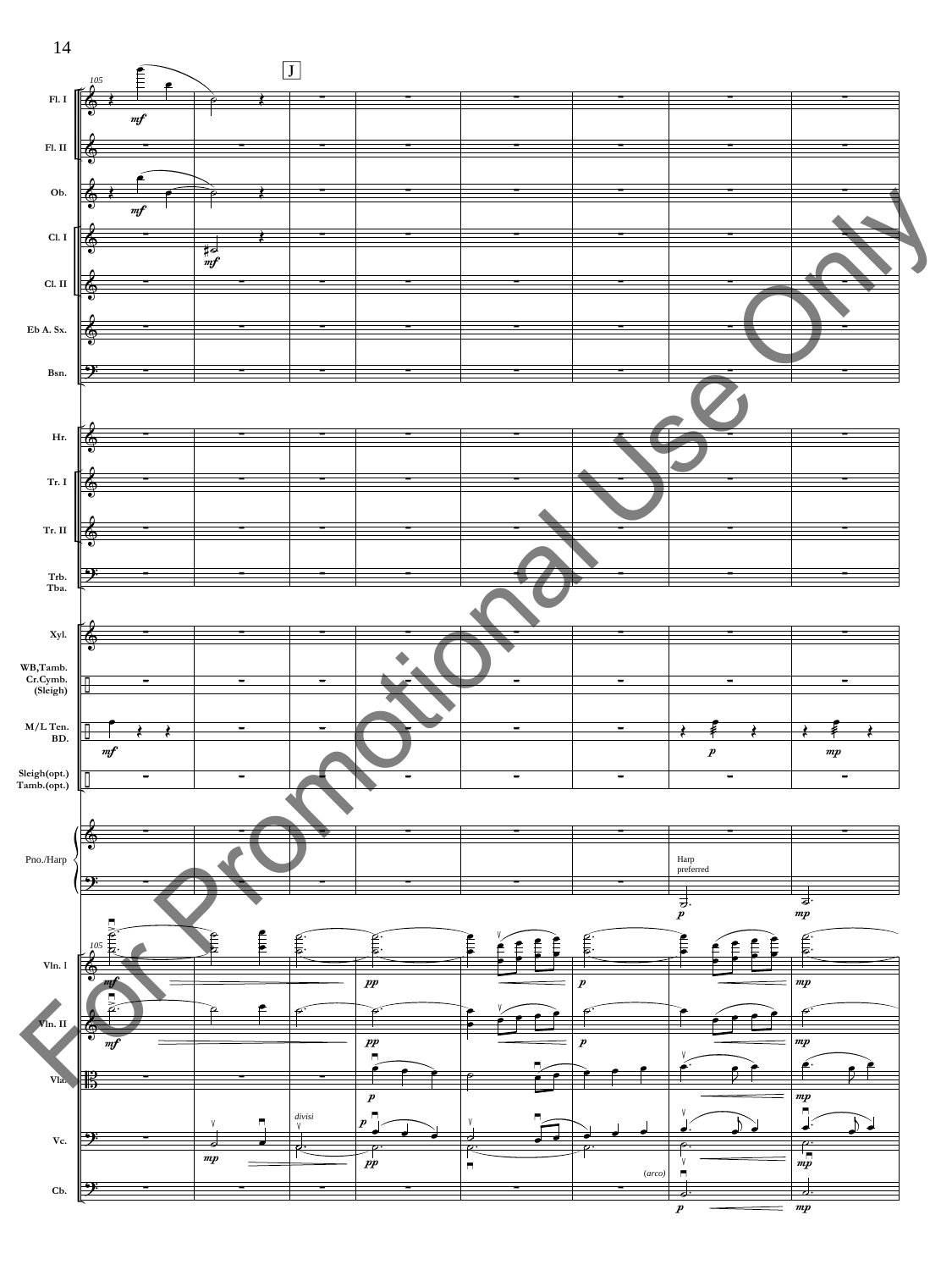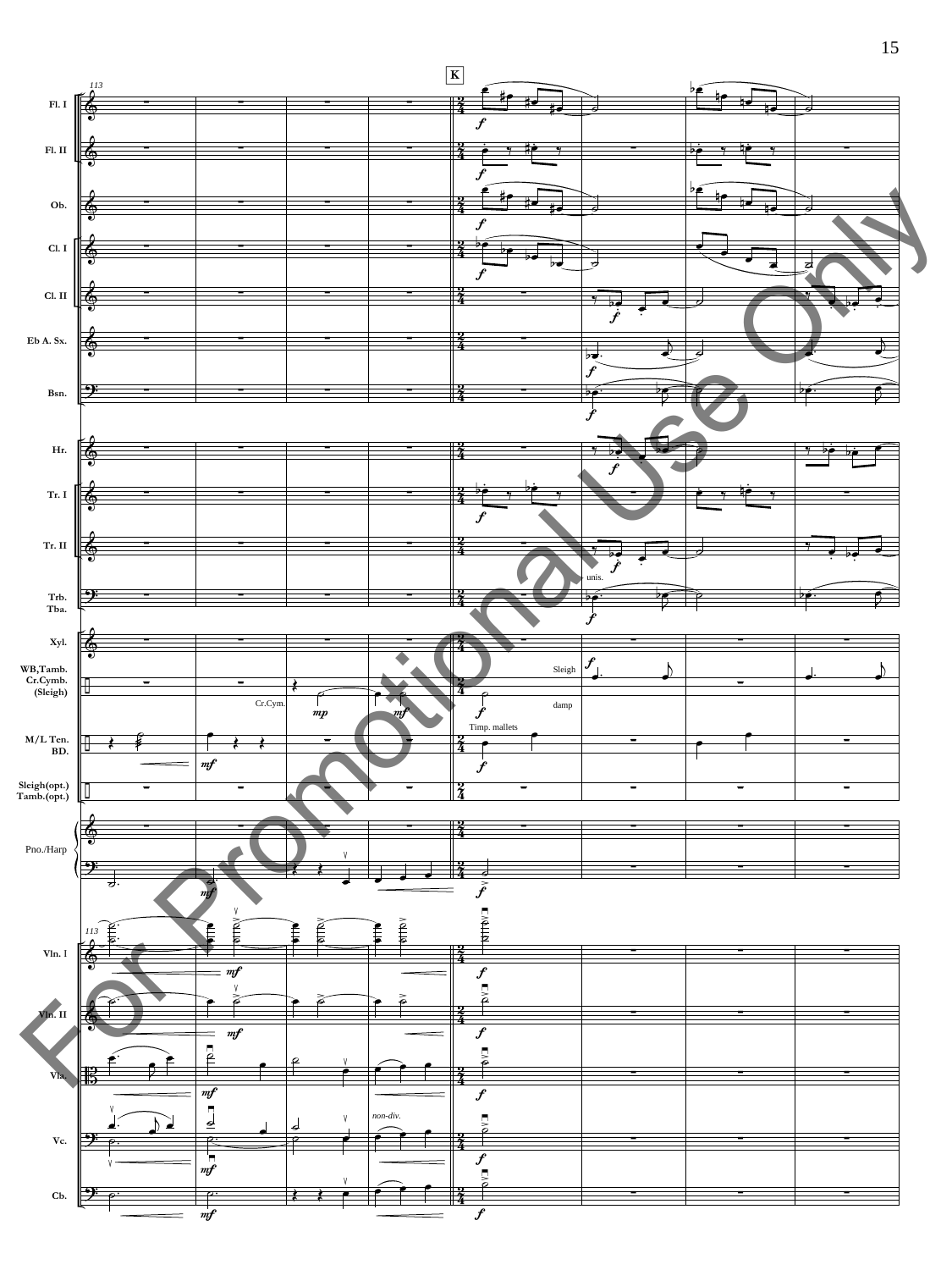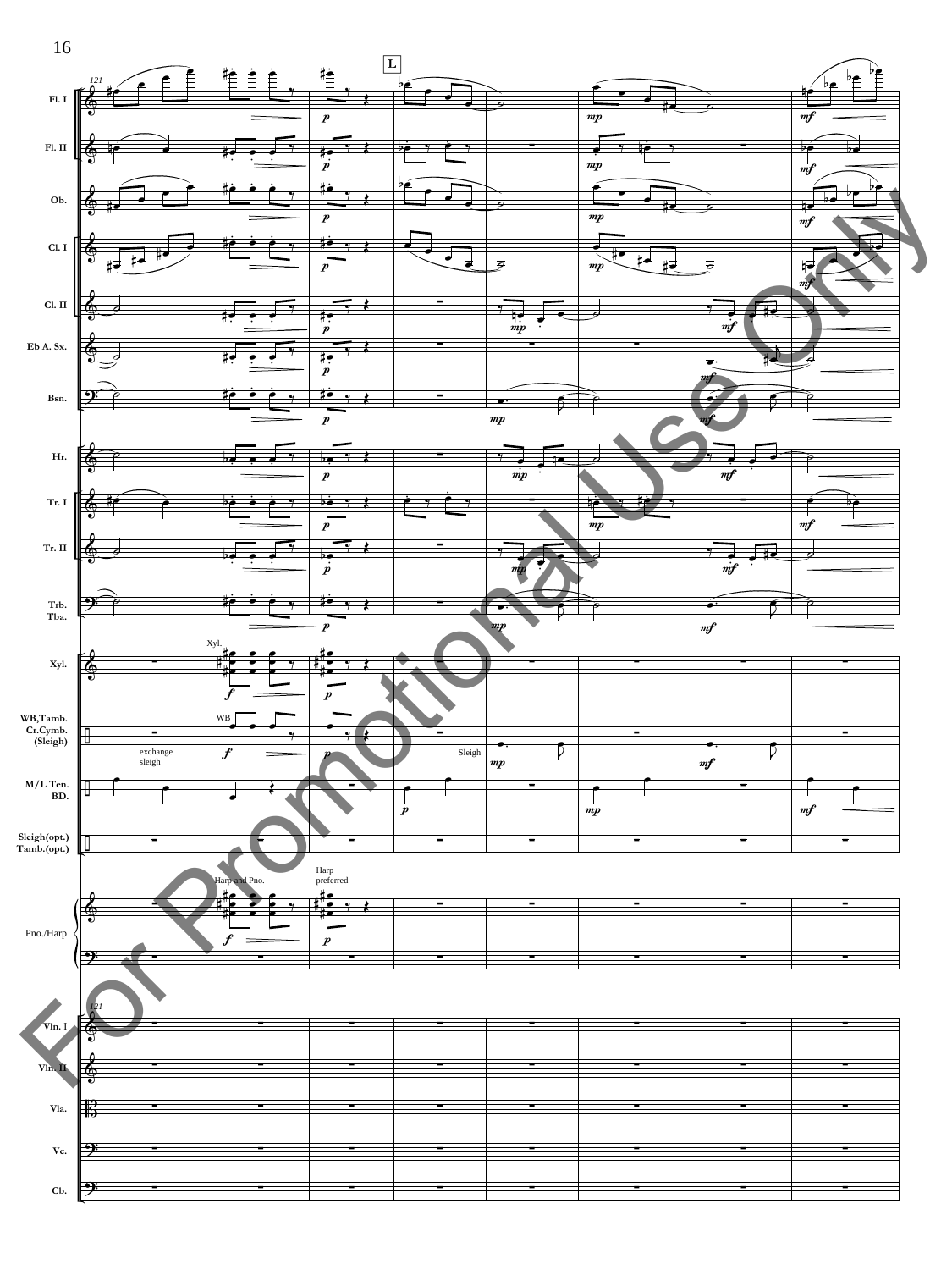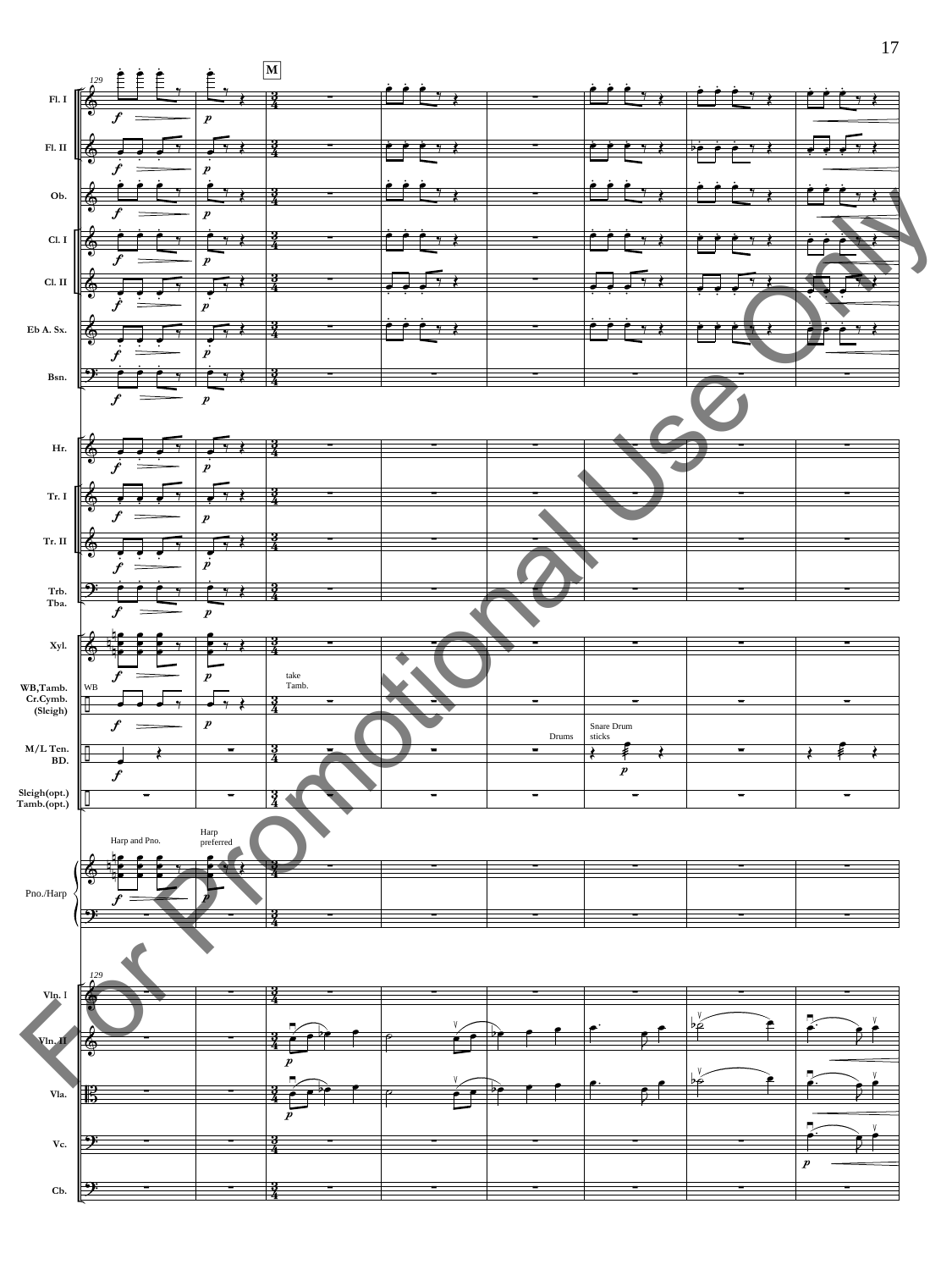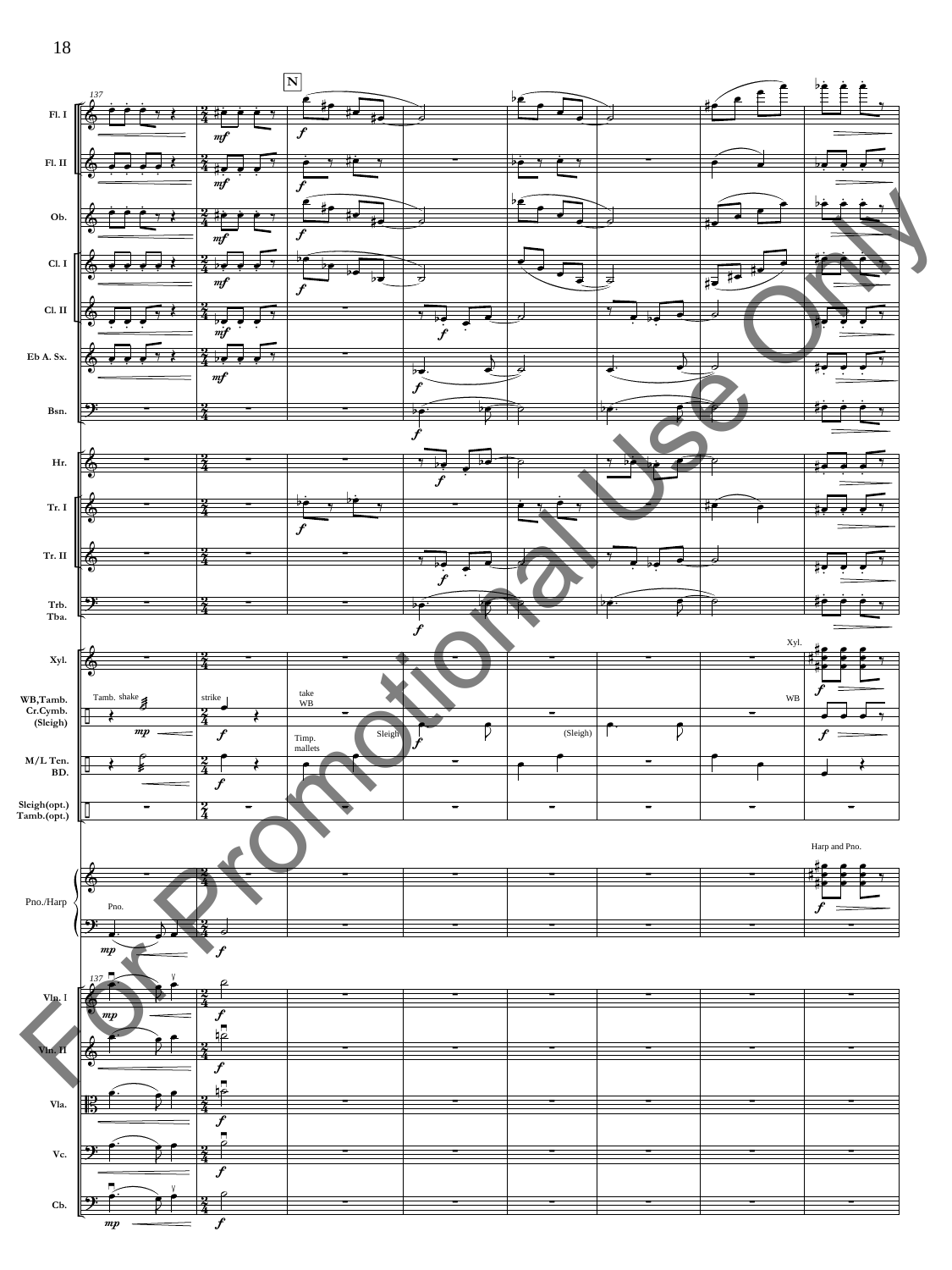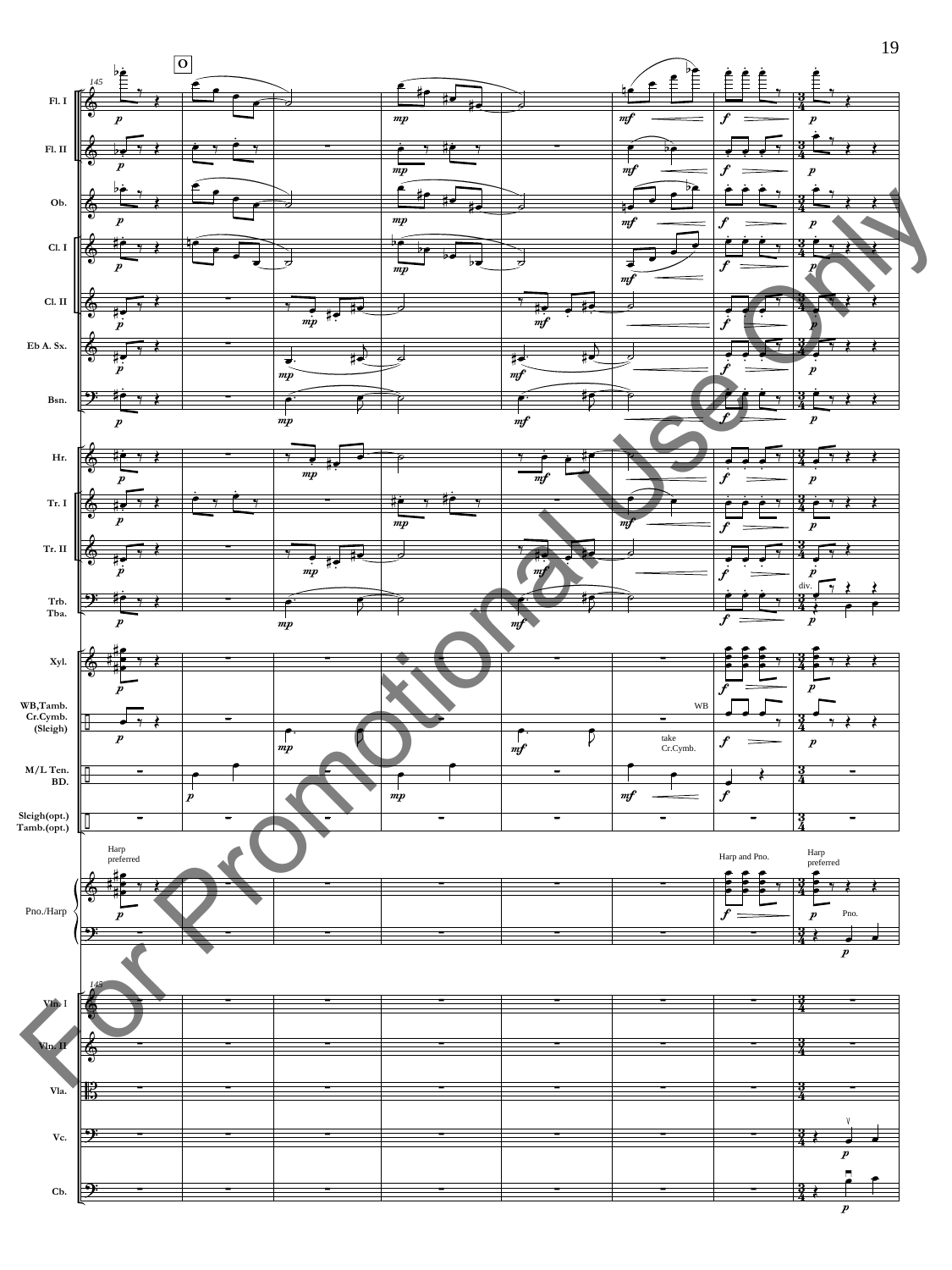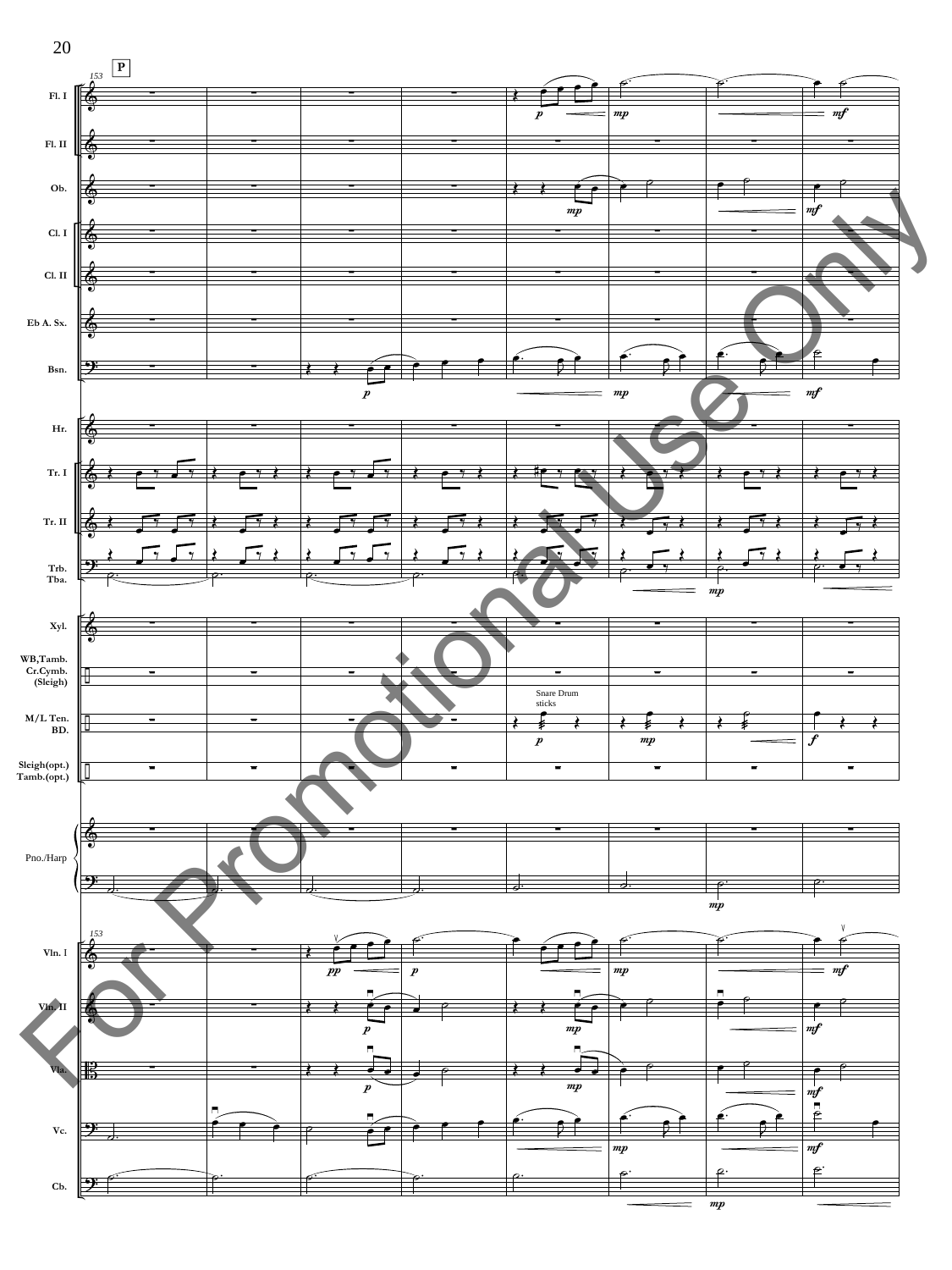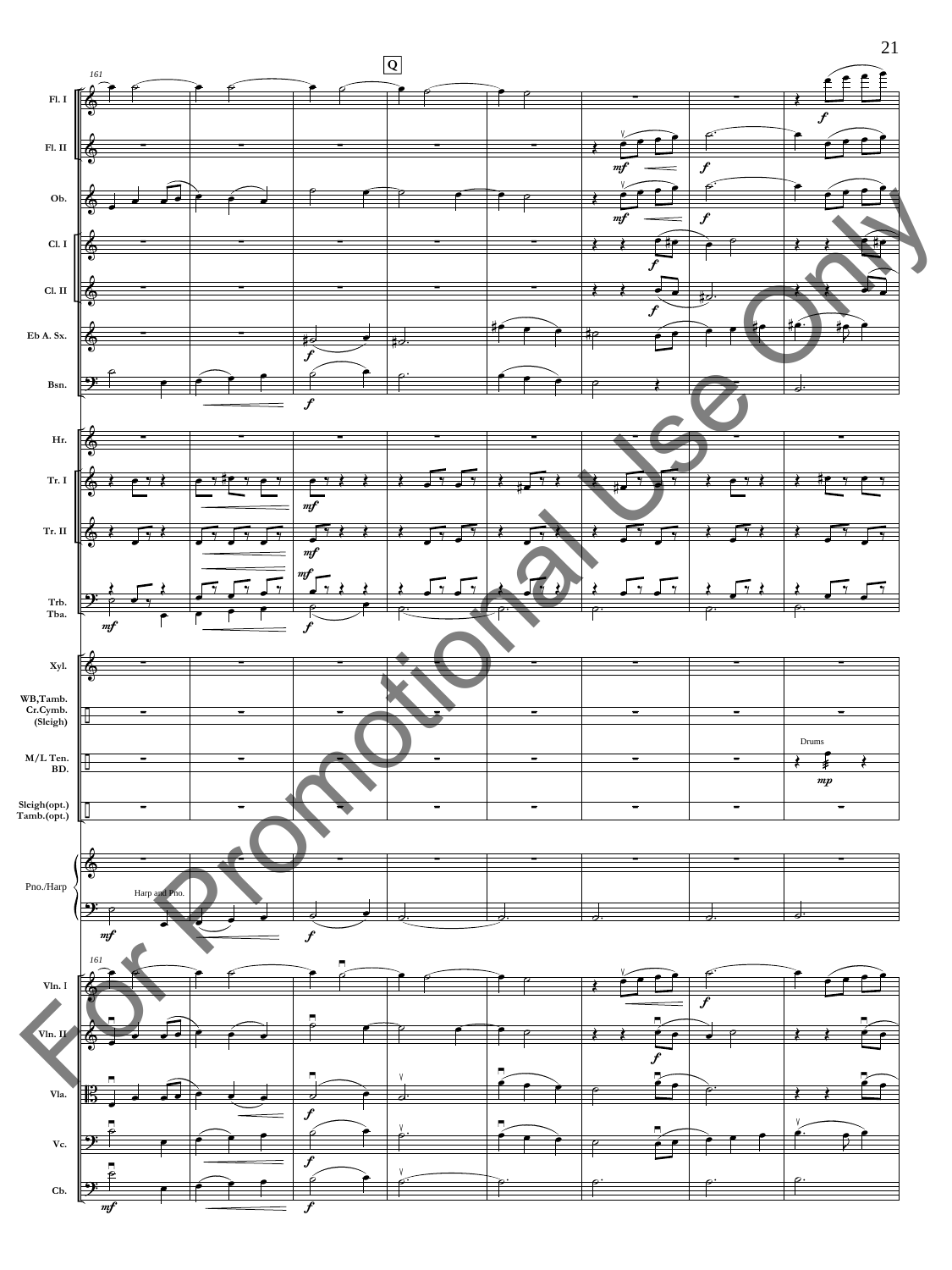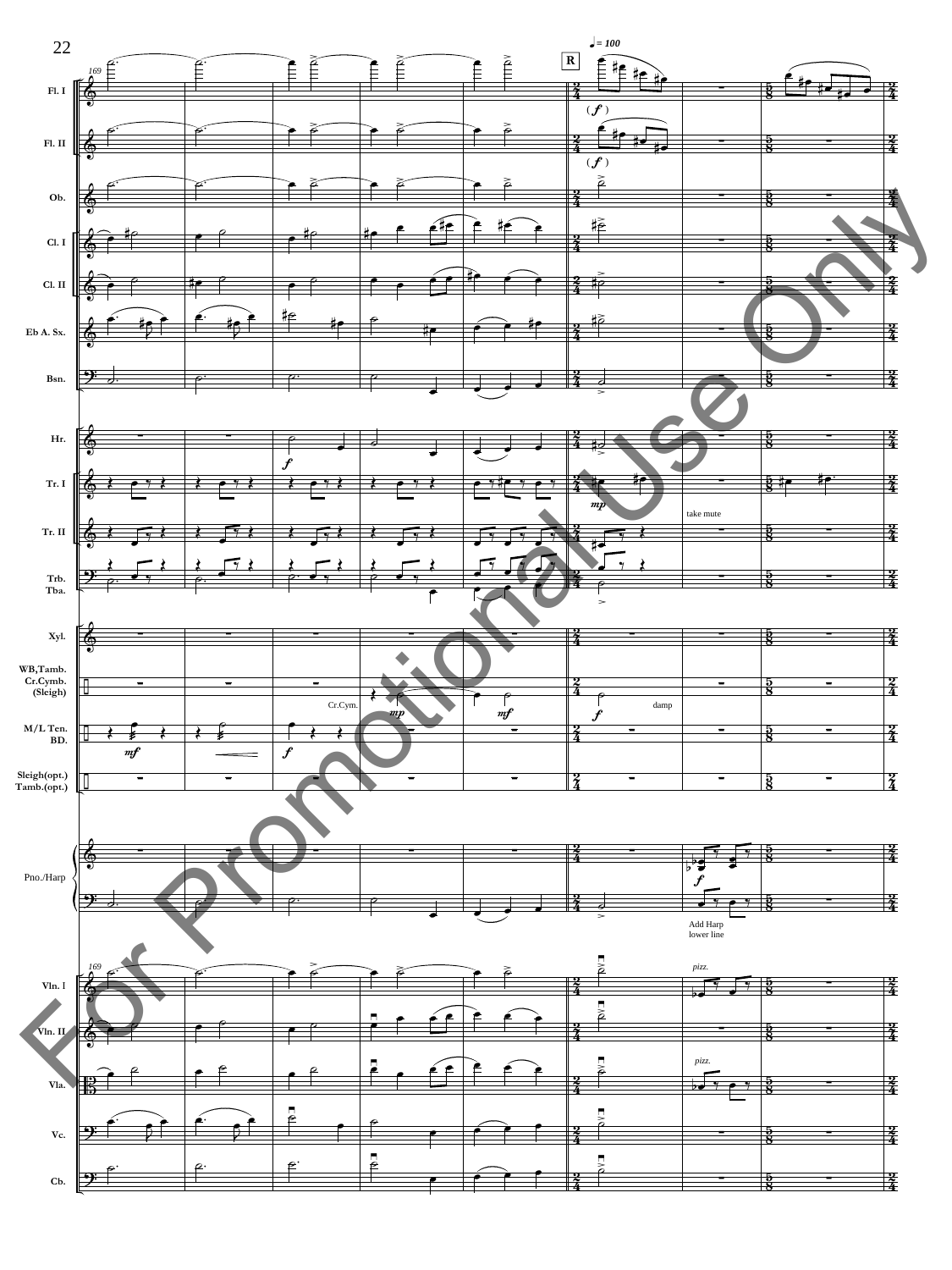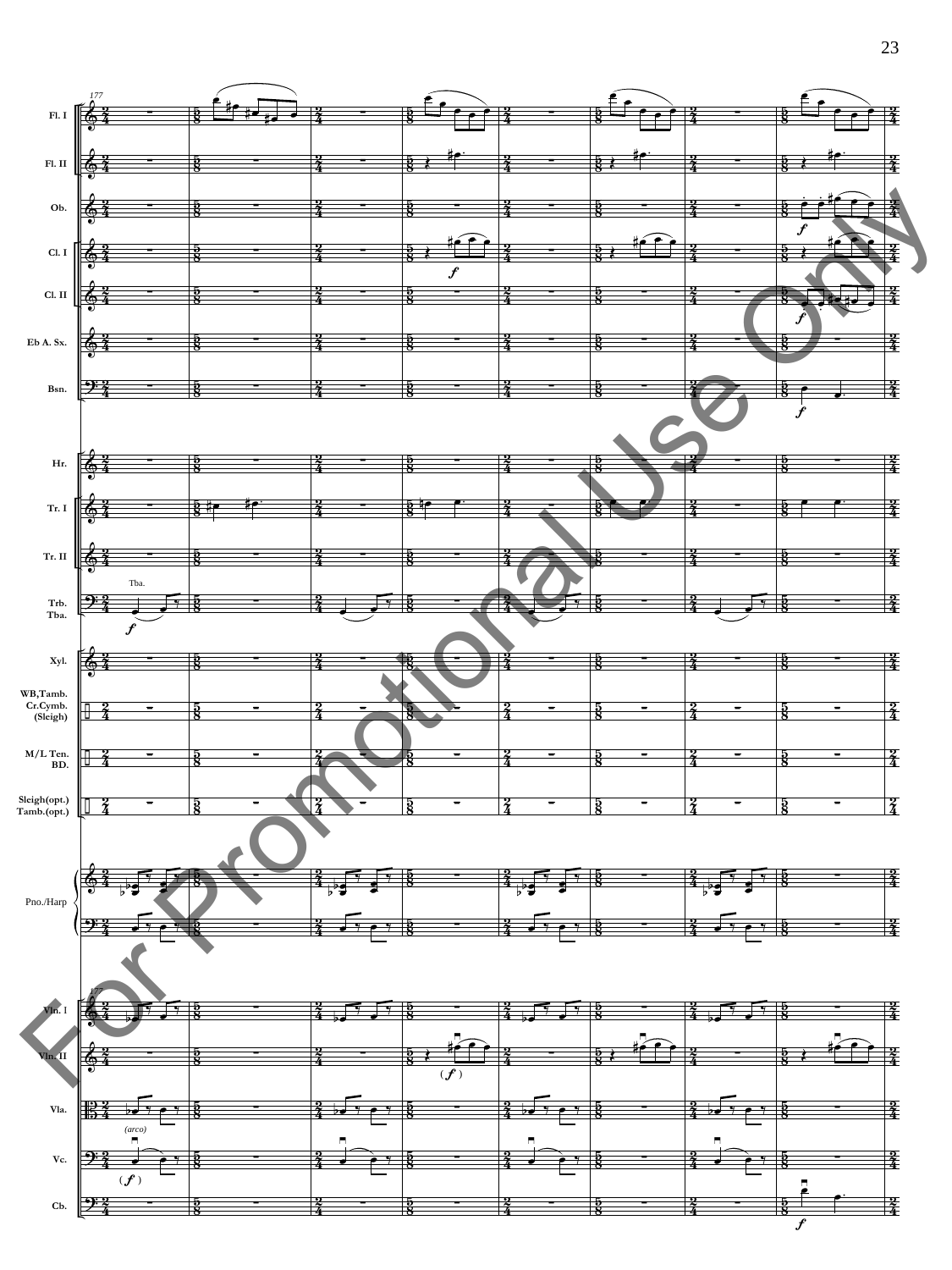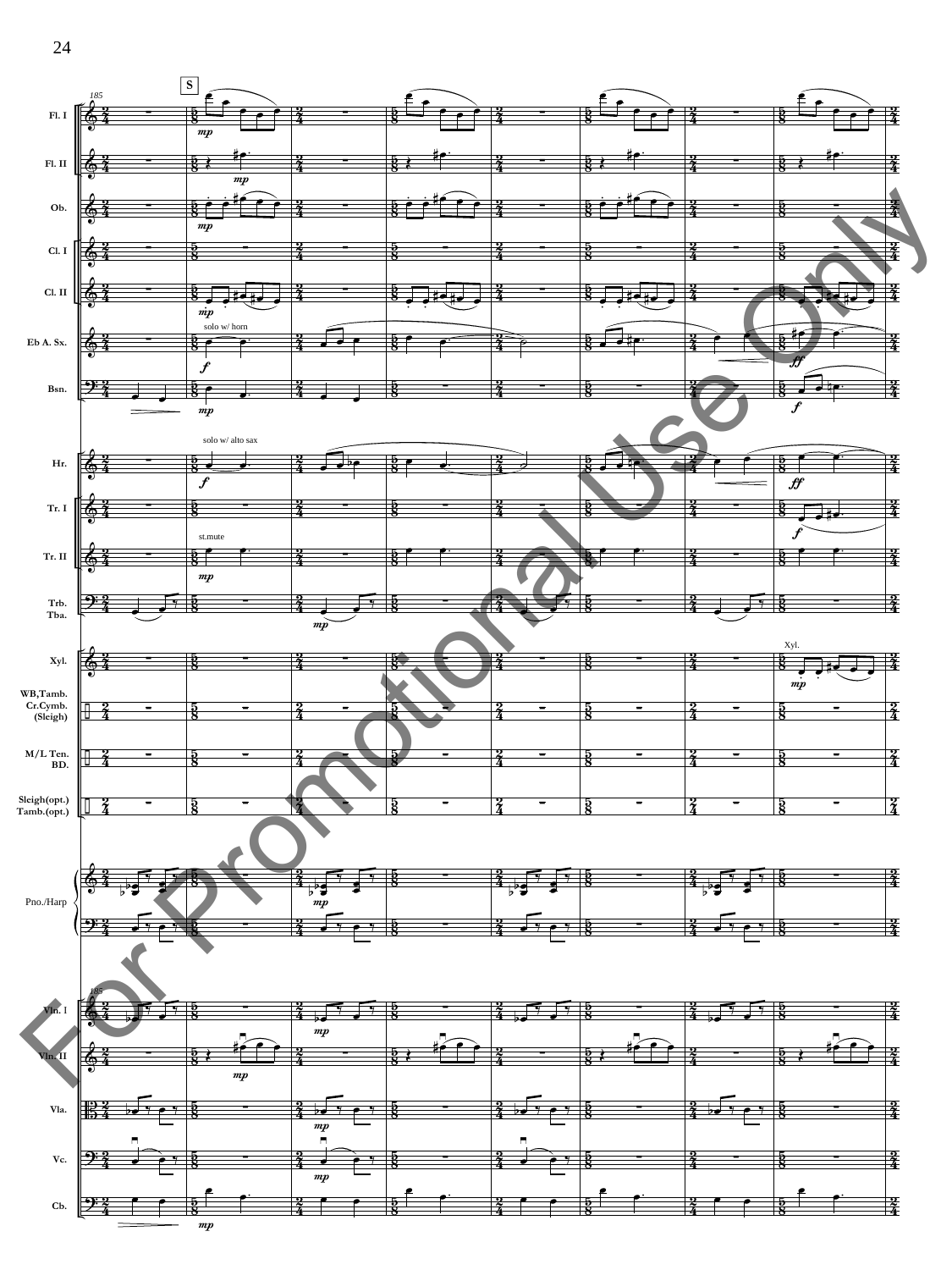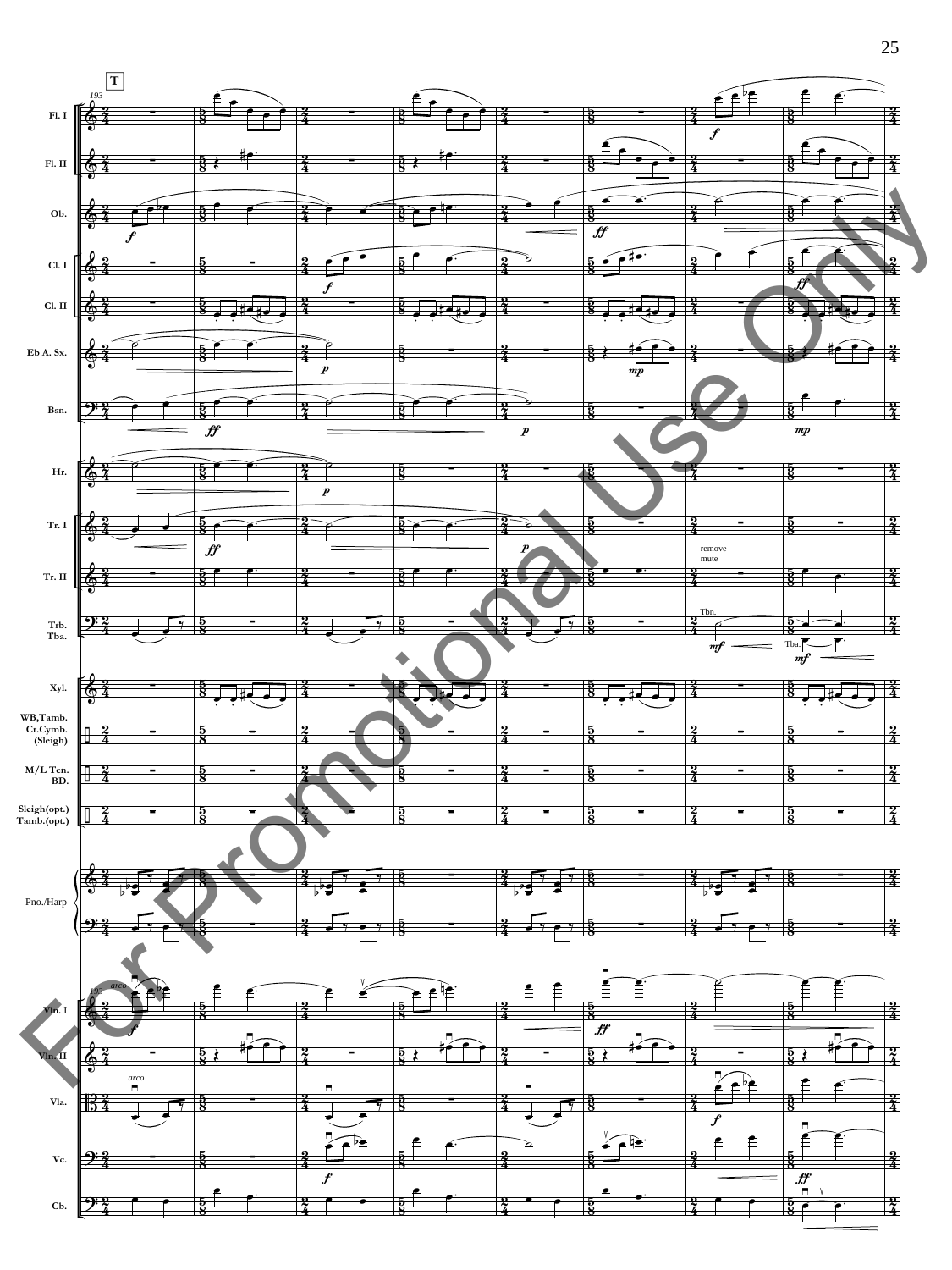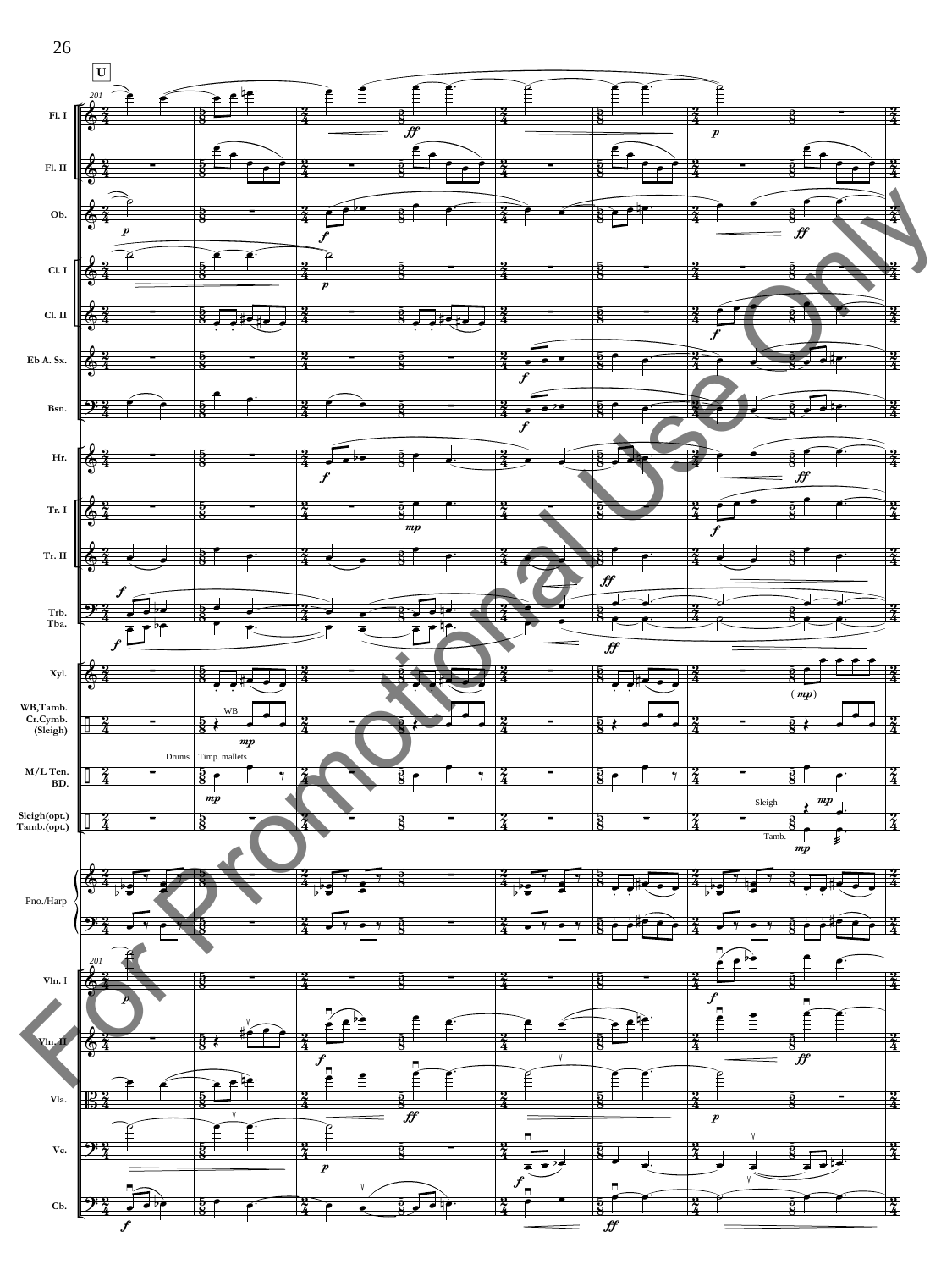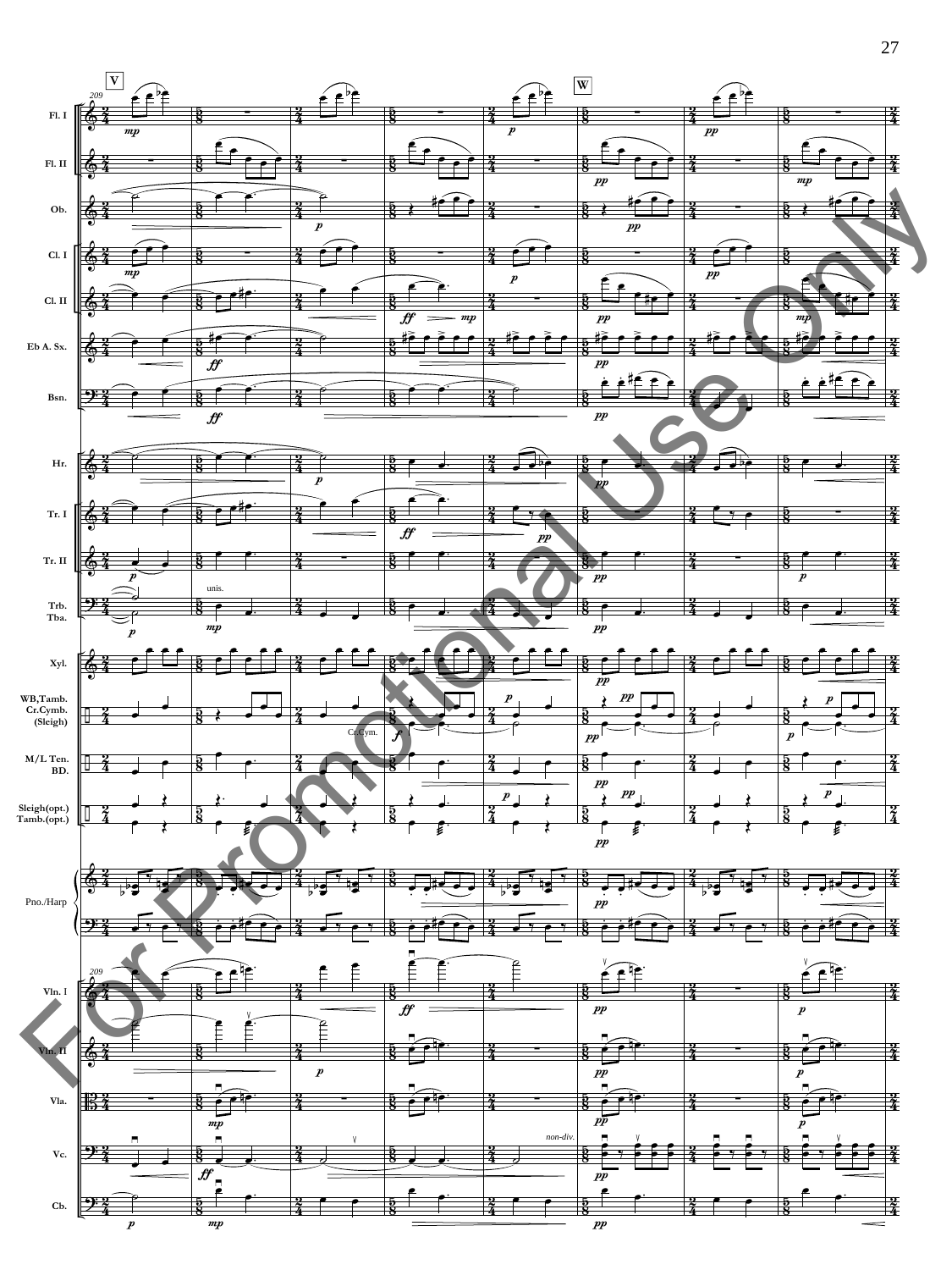![](_page_26_Figure_0.jpeg)